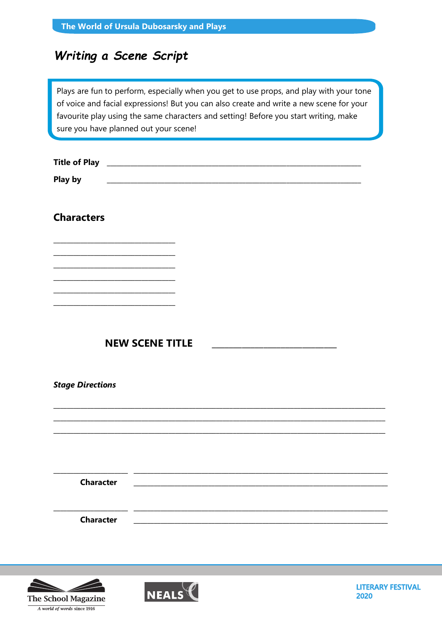|  | The World of Ursula Dubosarsky and Plays |  |
|--|------------------------------------------|--|
|--|------------------------------------------|--|

## Writing a Scene Script

Plays are fun to perform, especially when you get to use props, and play with your tone of voice and facial expressions! But you can also create and write a new scene for your favourite play using the same characters and setting! Before you start writing, make sure you have planned out your scene!

| <b>Title of Play</b> |  |
|----------------------|--|
| <b>Play by</b>       |  |

## **Characters**



**Stage Directions** 

**Character** 

**Character** 





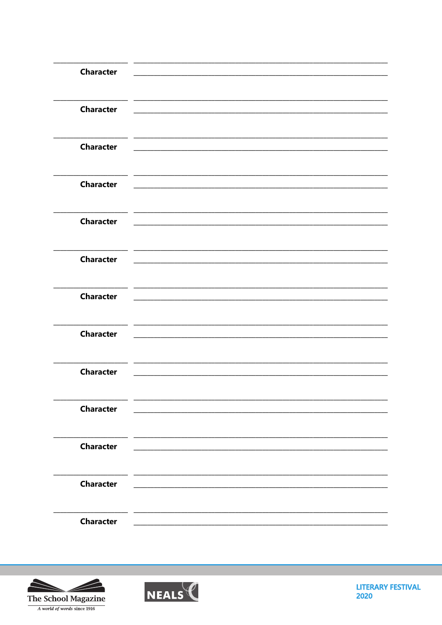| <b>Character</b> |                                                                                                                        |  |
|------------------|------------------------------------------------------------------------------------------------------------------------|--|
| <b>Character</b> |                                                                                                                        |  |
| <b>Character</b> | <u> 1989 - Johann Barbert, mars eta bainar eta bainar eta baina eta baina eta baina eta baina eta baina eta bain</u>   |  |
| <b>Character</b> |                                                                                                                        |  |
| <b>Character</b> |                                                                                                                        |  |
| <b>Character</b> | <u> 1989 - Johann Stoff, amerikansk politiker (d. 1989)</u>                                                            |  |
| <b>Character</b> | <u> 1980 - Johann John Stone, market fan it ferskearre fan it ferskearre fan it ferskearre fan it ferskearre fan i</u> |  |
| <b>Character</b> | <u> 1989 - Johann John Stein, markin fan it ferstjer fan it ferstjer fan it ferstjer fan it ferstjer fan it ferstj</u> |  |
| <b>Character</b> |                                                                                                                        |  |
| <b>Character</b> |                                                                                                                        |  |
| <b>Character</b> |                                                                                                                        |  |
| <b>Character</b> |                                                                                                                        |  |
| <b>Character</b> |                                                                                                                        |  |